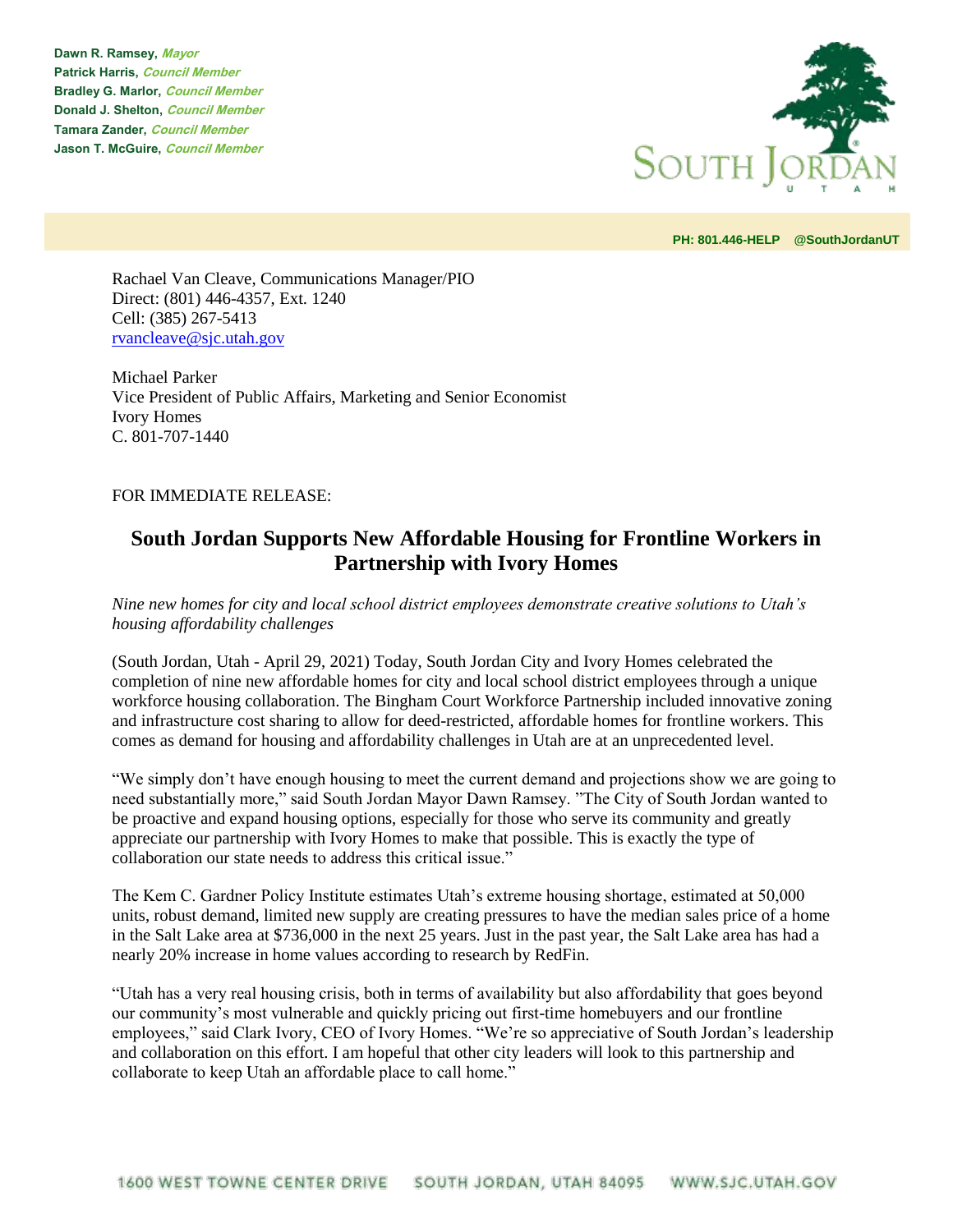**Dawn R. Ramsey, Mayor Patrick Harris, Council Member Bradley G. Marlor, Council Member Donald J. Shelton, Council Member Tamara Zander, Council Member Jason T. McGuire, Council Member**



**PH: 801.446-HELP @SouthJordanUT** 

Rachael Van Cleave, Communications Manager/PIO Direct: (801) 446-4357, Ext. 1240 Cell: (385) 267-5413 [rvancleave@sjc.utah.gov](mailto:rvancleave@sjc.utah.gov)

Michael Parker Vice President of Public Affairs, Marketing and Senior Economist Ivory Homes C. 801-707-1440

## FOR IMMEDIATE RELEASE:

## **South Jordan Supports New Affordable Housing for Frontline Workers in Partnership with Ivory Homes**

*Nine new homes for city and local school district employees demonstrate creative solutions to Utah's housing affordability challenges*

(South Jordan, Utah - April 29, 2021) Today, South Jordan City and Ivory Homes celebrated the completion of nine new affordable homes for city and local school district employees through a unique workforce housing collaboration. The Bingham Court Workforce Partnership included innovative zoning and infrastructure cost sharing to allow for deed-restricted, affordable homes for frontline workers. This comes as demand for housing and affordability challenges in Utah are at an unprecedented level.

"We simply don't have enough housing to meet the current demand and projections show we are going to need substantially more," said South Jordan Mayor Dawn Ramsey. "The City of South Jordan wanted to be proactive and expand housing options, especially for those who serve its community and greatly appreciate our partnership with Ivory Homes to make that possible. This is exactly the type of collaboration our state needs to address this critical issue."

The Kem C. Gardner Policy Institute estimates Utah's extreme housing shortage, estimated at 50,000 units, robust demand, limited new supply are creating pressures to have the median sales price of a home in the Salt Lake area at \$736,000 in the next 25 years. Just in the past year, the Salt Lake area has had a nearly 20% increase in home values according to research by RedFin.

"Utah has a very real housing crisis, both in terms of availability but also affordability that goes beyond our community's most vulnerable and quickly pricing out first-time homebuyers and our frontline employees," said Clark Ivory, CEO of Ivory Homes. "We're so appreciative of South Jordan's leadership and collaboration on this effort. I am hopeful that other city leaders will look to this partnership and collaborate to keep Utah an affordable place to call home."